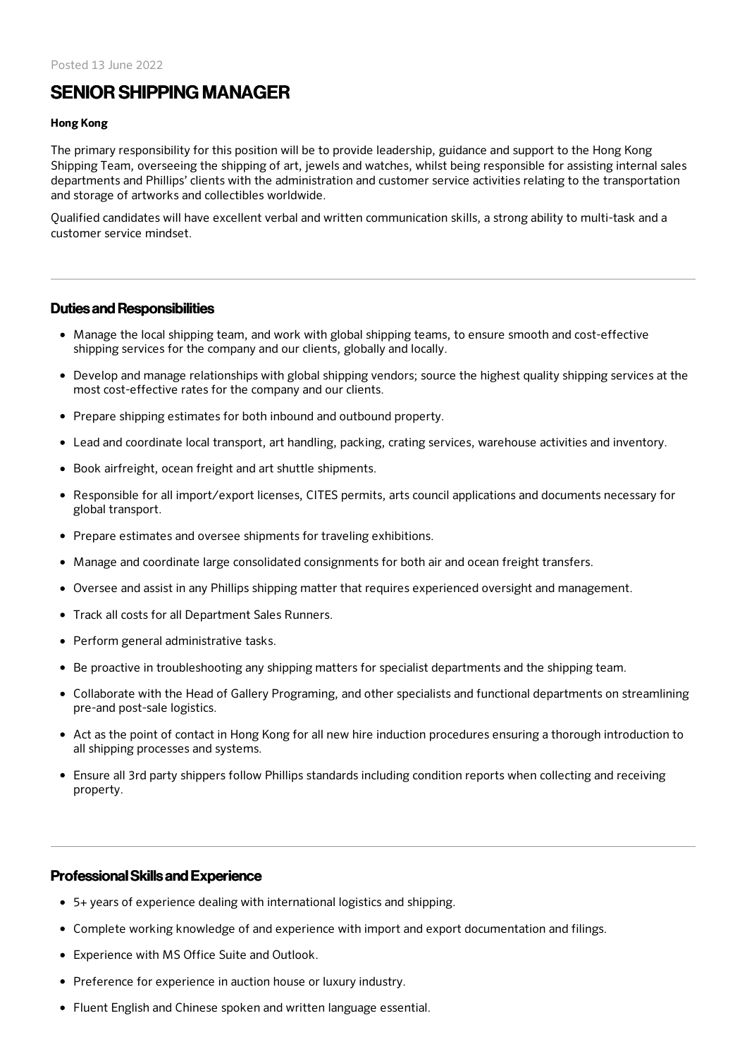# SENIOR SHIPPING MANAGER

#### Hong Kong

The primary responsibility for this position will be to provide leadership, guidance and support to the Hong Kong Shipping Team, overseeing the shipping of art, jewels and watches, whilst being responsible for assisting internal sales departments and Phillips' clients with the administration and customer service activities relating to the transportation and storage of artworks and collectibles worldwide.

Qualified candidates will have excellent verbal and written communication skills, a strong ability to multi-task and a customer service mindset.

#### Duties and Responsibilities

- Manage the local shipping team, and work with global shipping teams, to ensure smooth and cost-effective shipping services for the company and our clients, globally and locally.
- Develop and manage relationships with global shipping vendors; source the highest quality shipping services at the most cost-effective rates for the company and our clients.
- Prepare shipping estimates for both inbound and outbound property.
- Lead and coordinate local transport, art handling, packing, crating services, warehouse activities and inventory.
- Book airfreight, ocean freight and art shuttle shipments.
- Responsible for all import/export licenses, CITES permits, arts council applications and documents necessary for global transport.
- Prepare estimates and oversee shipments for traveling exhibitions.
- Manage and coordinate large consolidated consignments for both air and ocean freight transfers.
- Oversee and assist in any Phillips shipping matter that requires experienced oversight and management.
- Track all costs for all Department Sales Runners.
- Perform general administrative tasks.
- Be proactive in troubleshooting any shipping matters for specialist departments and the shipping team.
- Collaborate with the Head of Gallery Programing, and other specialists and functional departments on streamlining pre-and post-sale logistics.
- Act as the point of contact in Hong Kong for all new hire induction procedures ensuring a thorough introduction to all shipping processes and systems.
- Ensure all 3rd party shippers follow Phillips standards including condition reports when collecting and receiving property.

#### ProfessionalSkills and Experience

- 5+ years of experience dealing with international logistics and shipping.
- Complete working knowledge of and experience with import and export documentation and filings.
- Experience with MS Office Suite and Outlook.
- Preference for experience in auction house or luxury industry.
- Fluent English and Chinese spoken and written language essential.